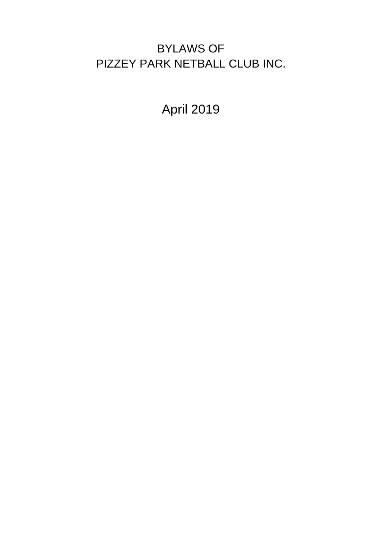# BYLAWS OF PIZZEY PARK NETBALL CLUB INC.

April 2019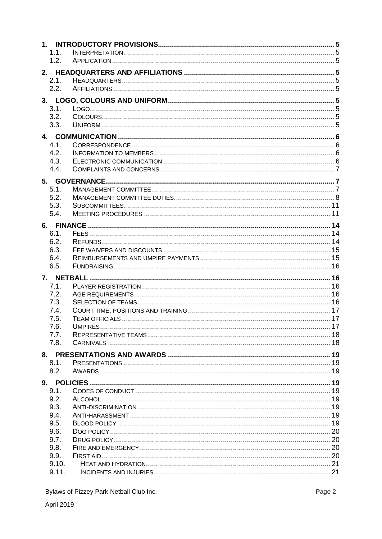| 1.1.  |  |  |  |  |
|-------|--|--|--|--|
| 1.2.  |  |  |  |  |
|       |  |  |  |  |
| 2.1.  |  |  |  |  |
| 2.2.  |  |  |  |  |
|       |  |  |  |  |
| 3.1.  |  |  |  |  |
| 3.2.  |  |  |  |  |
| 3.3.  |  |  |  |  |
|       |  |  |  |  |
| 4.1.  |  |  |  |  |
| 4.2.  |  |  |  |  |
| 4.3.  |  |  |  |  |
| 4.4.  |  |  |  |  |
|       |  |  |  |  |
|       |  |  |  |  |
| 5.1.  |  |  |  |  |
| 5.2.  |  |  |  |  |
| 5.3.  |  |  |  |  |
| 5.4.  |  |  |  |  |
|       |  |  |  |  |
| 6.1.  |  |  |  |  |
| 6.2.  |  |  |  |  |
| 6.3.  |  |  |  |  |
| 6.4.  |  |  |  |  |
| 6.5.  |  |  |  |  |
|       |  |  |  |  |
| 7.1.  |  |  |  |  |
| 7.2.  |  |  |  |  |
| 7.3.  |  |  |  |  |
| 7.4.  |  |  |  |  |
| 7.5.  |  |  |  |  |
| 7.6.  |  |  |  |  |
| 7.7.  |  |  |  |  |
| 7.8.  |  |  |  |  |
|       |  |  |  |  |
| 8.1.  |  |  |  |  |
| 8.2.  |  |  |  |  |
|       |  |  |  |  |
| 9.1.  |  |  |  |  |
| 9.2.  |  |  |  |  |
| 9.3.  |  |  |  |  |
| 9.4.  |  |  |  |  |
| 9.5.  |  |  |  |  |
| 9.6.  |  |  |  |  |
| 9.7.  |  |  |  |  |
| 9.8.  |  |  |  |  |
| 9.9.  |  |  |  |  |
| 9.10. |  |  |  |  |
| 9.11. |  |  |  |  |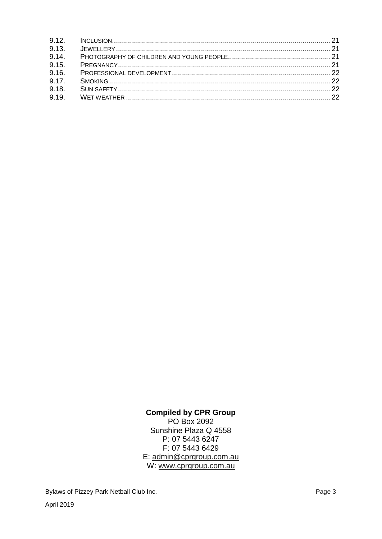## **Compiled by CPR Group** PO Box 2092 Sunshine Plaza Q 4558 P: 07 5443 6247 F: 07 5443 6429

E: admin@cprgroup.com.au W: www.cprgroup.com.au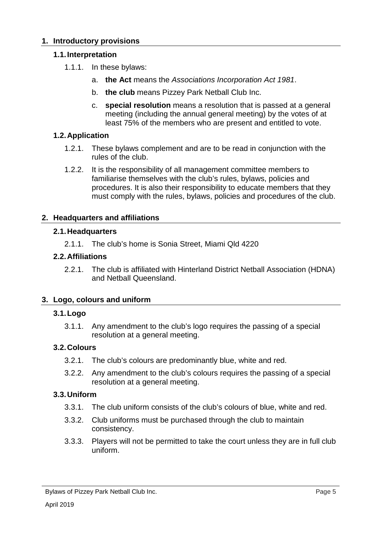### **1. Introductory provisions**

### **1.1.Interpretation**

- 1.1.1. In these bylaws:
	- a. **the Act** means the *Associations Incorporation Act 1981*.
	- b. **the club** means Pizzey Park Netball Club Inc.
	- c. **special resolution** means a resolution that is passed at a general meeting (including the annual general meeting) by the votes of at least 75% of the members who are present and entitled to vote.

### **1.2.Application**

- 1.2.1. These bylaws complement and are to be read in conjunction with the rules of the club.
- 1.2.2. It is the responsibility of all management committee members to familiarise themselves with the club's rules, bylaws, policies and procedures. It is also their responsibility to educate members that they must comply with the rules, bylaws, policies and procedures of the club.

### **2. Headquarters and affiliations**

### **2.1.Headquarters**

2.1.1. The club's home is Sonia Street, Miami Qld 4220

### **2.2.Affiliations**

2.2.1. The club is affiliated with Hinterland District Netball Association (HDNA) and Netball Queensland.

### **3. Logo, colours and uniform**

### **3.1.Logo**

3.1.1. Any amendment to the club's logo requires the passing of a special resolution at a general meeting.

### **3.2.Colours**

- 3.2.1. The club's colours are predominantly blue, white and red.
- 3.2.2. Any amendment to the club's colours requires the passing of a special resolution at a general meeting.

### **3.3.Uniform**

- 3.3.1. The club uniform consists of the club's colours of blue, white and red.
- 3.3.2. Club uniforms must be purchased through the club to maintain consistency.
- 3.3.3. Players will not be permitted to take the court unless they are in full club uniform.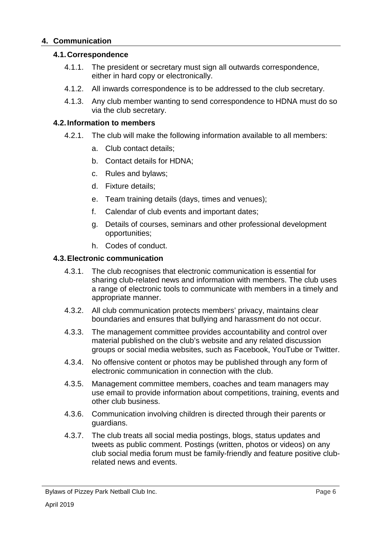### **4. Communication**

### **4.1.Correspondence**

- 4.1.1. The president or secretary must sign all outwards correspondence, either in hard copy or electronically.
- 4.1.2. All inwards correspondence is to be addressed to the club secretary.
- 4.1.3. Any club member wanting to send correspondence to HDNA must do so via the club secretary.

### **4.2.Information to members**

- 4.2.1. The club will make the following information available to all members:
	- a. Club contact details;
	- b. Contact details for HDNA;
	- c. Rules and bylaws;
	- d. Fixture details;
	- e. Team training details (days, times and venues);
	- f. Calendar of club events and important dates;
	- g. Details of courses, seminars and other professional development opportunities;
	- h. Codes of conduct.

#### **4.3.Electronic communication**

- 4.3.1. The club recognises that electronic communication is essential for sharing club-related news and information with members. The club uses a range of electronic tools to communicate with members in a timely and appropriate manner.
- 4.3.2. All club communication protects members' privacy, maintains clear boundaries and ensures that bullying and harassment do not occur.
- 4.3.3. The management committee provides accountability and control over material published on the club's website and any related discussion groups or social media websites, such as Facebook, YouTube or Twitter.
- 4.3.4. No offensive content or photos may be published through any form of electronic communication in connection with the club.
- 4.3.5. Management committee members, coaches and team managers may use email to provide information about competitions, training, events and other club business.
- 4.3.6. Communication involving children is directed through their parents or guardians.
- 4.3.7. The club treats all social media postings, blogs, status updates and tweets as public comment. Postings (written, photos or videos) on any club social media forum must be family-friendly and feature positive clubrelated news and events.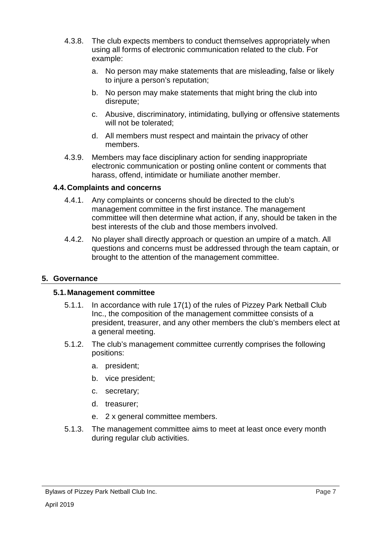- 4.3.8. The club expects members to conduct themselves appropriately when using all forms of electronic communication related to the club. For example:
	- a. No person may make statements that are misleading, false or likely to injure a person's reputation;
	- b. No person may make statements that might bring the club into disrepute;
	- c. Abusive, discriminatory, intimidating, bullying or offensive statements will not be tolerated;
	- d. All members must respect and maintain the privacy of other members.
- 4.3.9. Members may face disciplinary action for sending inappropriate electronic communication or posting online content or comments that harass, offend, intimidate or humiliate another member.

### **4.4.Complaints and concerns**

- 4.4.1. Any complaints or concerns should be directed to the club's management committee in the first instance. The management committee will then determine what action, if any, should be taken in the best interests of the club and those members involved.
- 4.4.2. No player shall directly approach or question an umpire of a match. All questions and concerns must be addressed through the team captain, or brought to the attention of the management committee.

### **5. Governance**

### **5.1.Management committee**

- 5.1.1. In accordance with rule 17(1) of the rules of Pizzey Park Netball Club Inc., the composition of the management committee consists of a president, treasurer, and any other members the club's members elect at a general meeting.
- 5.1.2. The club's management committee currently comprises the following positions:
	- a. president;
	- b. vice president;
	- c. secretary;
	- d. treasurer;
	- e. 2 x general committee members.
- 5.1.3. The management committee aims to meet at least once every month during regular club activities.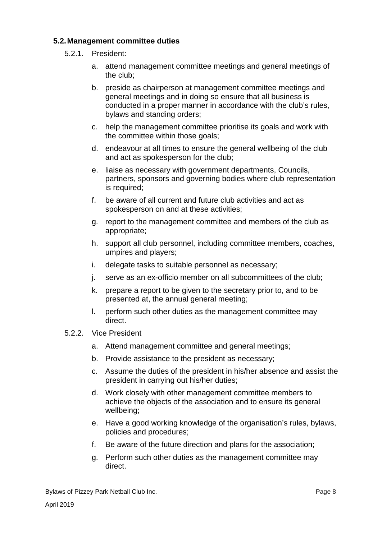### **5.2.Management committee duties**

- 5.2.1. President:
	- a. attend management committee meetings and general meetings of the club;
	- b. preside as chairperson at management committee meetings and general meetings and in doing so ensure that all business is conducted in a proper manner in accordance with the club's rules, bylaws and standing orders;
	- c. help the management committee prioritise its goals and work with the committee within those goals;
	- d. endeavour at all times to ensure the general wellbeing of the club and act as spokesperson for the club;
	- e. liaise as necessary with government departments, Councils, partners, sponsors and governing bodies where club representation is required;
	- f. be aware of all current and future club activities and act as spokesperson on and at these activities;
	- g. report to the management committee and members of the club as appropriate;
	- h. support all club personnel, including committee members, coaches, umpires and players;
	- i. delegate tasks to suitable personnel as necessary;
	- j. serve as an ex-officio member on all subcommittees of the club;
	- k. prepare a report to be given to the secretary prior to, and to be presented at, the annual general meeting;
	- l. perform such other duties as the management committee may direct.
- 5.2.2. Vice President
	- a. Attend management committee and general meetings;
	- b. Provide assistance to the president as necessary;
	- c. Assume the duties of the president in his/her absence and assist the president in carrying out his/her duties;
	- d. Work closely with other management committee members to achieve the objects of the association and to ensure its general wellbeing;
	- e. Have a good working knowledge of the organisation's rules, bylaws, policies and procedures;
	- f. Be aware of the future direction and plans for the association;
	- g. Perform such other duties as the management committee may direct.

Bylaws of Pizzey Park Netball Club Inc.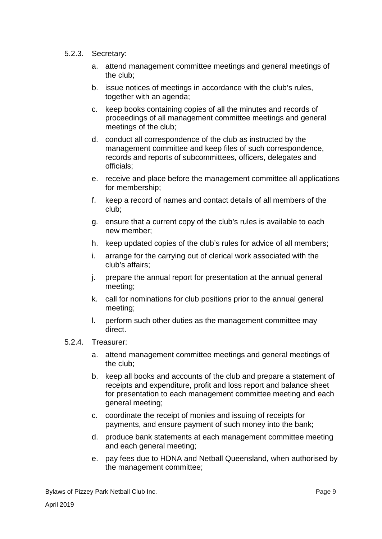- 5.2.3. Secretary:
	- a. attend management committee meetings and general meetings of the club;
	- b. issue notices of meetings in accordance with the club's rules, together with an agenda;
	- c. keep books containing copies of all the minutes and records of proceedings of all management committee meetings and general meetings of the club;
	- d. conduct all correspondence of the club as instructed by the management committee and keep files of such correspondence, records and reports of subcommittees, officers, delegates and officials;
	- e. receive and place before the management committee all applications for membership;
	- f. keep a record of names and contact details of all members of the club;
	- g. ensure that a current copy of the club's rules is available to each new member;
	- h. keep updated copies of the club's rules for advice of all members;
	- i. arrange for the carrying out of clerical work associated with the club's affairs;
	- j. prepare the annual report for presentation at the annual general meeting;
	- k. call for nominations for club positions prior to the annual general meeting;
	- l. perform such other duties as the management committee may direct.
- 5.2.4. Treasurer:
	- a. attend management committee meetings and general meetings of the club;
	- b. keep all books and accounts of the club and prepare a statement of receipts and expenditure, profit and loss report and balance sheet for presentation to each management committee meeting and each general meeting;
	- c. coordinate the receipt of monies and issuing of receipts for payments, and ensure payment of such money into the bank;
	- d. produce bank statements at each management committee meeting and each general meeting;
	- e. pay fees due to HDNA and Netball Queensland, when authorised by the management committee;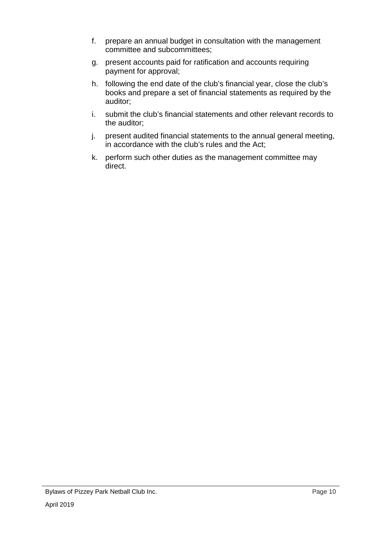- f. prepare an annual budget in consultation with the management committee and subcommittees;
- g. present accounts paid for ratification and accounts requiring payment for approval;
- h. following the end date of the club's financial year, close the club's books and prepare a set of financial statements as required by the auditor;
- i. submit the club's financial statements and other relevant records to the auditor;
- j. present audited financial statements to the annual general meeting, in accordance with the club's rules and the Act;
- k. perform such other duties as the management committee may direct.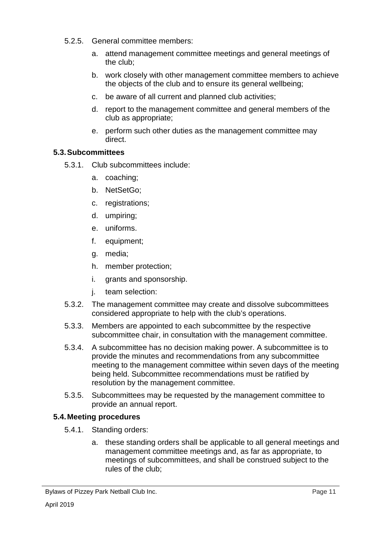- 5.2.5. General committee members:
	- a. attend management committee meetings and general meetings of the club;
	- b. work closely with other management committee members to achieve the objects of the club and to ensure its general wellbeing;
	- c. be aware of all current and planned club activities;
	- d. report to the management committee and general members of the club as appropriate;
	- e. perform such other duties as the management committee may direct.

# **5.3.Subcommittees**

- 5.3.1. Club subcommittees include:
	- a. coaching;
	- b. NetSetGo;
	- c. registrations;
	- d. umpiring;
	- e. uniforms.
	- f. equipment;
	- g. media;
	- h. member protection;
	- i. grants and sponsorship.
	- j. team selection:
- 5.3.2. The management committee may create and dissolve subcommittees considered appropriate to help with the club's operations.
- 5.3.3. Members are appointed to each subcommittee by the respective subcommittee chair, in consultation with the management committee.
- 5.3.4. A subcommittee has no decision making power. A subcommittee is to provide the minutes and recommendations from any subcommittee meeting to the management committee within seven days of the meeting being held. Subcommittee recommendations must be ratified by resolution by the management committee.
- 5.3.5. Subcommittees may be requested by the management committee to provide an annual report.

### **5.4.Meeting procedures**

- 5.4.1. Standing orders:
	- a. these standing orders shall be applicable to all general meetings and management committee meetings and, as far as appropriate, to meetings of subcommittees, and shall be construed subject to the rules of the club;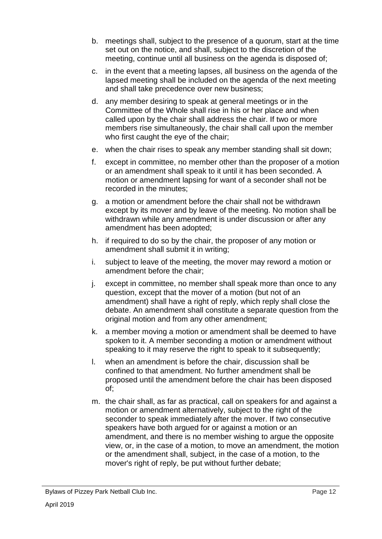- b. meetings shall, subject to the presence of a quorum, start at the time set out on the notice, and shall, subject to the discretion of the meeting, continue until all business on the agenda is disposed of;
- c. in the event that a meeting lapses, all business on the agenda of the lapsed meeting shall be included on the agenda of the next meeting and shall take precedence over new business;
- d. any member desiring to speak at general meetings or in the Committee of the Whole shall rise in his or her place and when called upon by the chair shall address the chair. If two or more members rise simultaneously, the chair shall call upon the member who first caught the eye of the chair;
- e. when the chair rises to speak any member standing shall sit down;
- f. except in committee, no member other than the proposer of a motion or an amendment shall speak to it until it has been seconded. A motion or amendment lapsing for want of a seconder shall not be recorded in the minutes;
- g. a motion or amendment before the chair shall not be withdrawn except by its mover and by leave of the meeting. No motion shall be withdrawn while any amendment is under discussion or after any amendment has been adopted;
- h. if required to do so by the chair, the proposer of any motion or amendment shall submit it in writing;
- i. subject to leave of the meeting, the mover may reword a motion or amendment before the chair;
- j. except in committee, no member shall speak more than once to any question, except that the mover of a motion (but not of an amendment) shall have a right of reply, which reply shall close the debate. An amendment shall constitute a separate question from the original motion and from any other amendment;
- k. a member moving a motion or amendment shall be deemed to have spoken to it. A member seconding a motion or amendment without speaking to it may reserve the right to speak to it subsequently;
- l. when an amendment is before the chair, discussion shall be confined to that amendment. No further amendment shall be proposed until the amendment before the chair has been disposed of;
- m. the chair shall, as far as practical, call on speakers for and against a motion or amendment alternatively, subject to the right of the seconder to speak immediately after the mover. If two consecutive speakers have both argued for or against a motion or an amendment, and there is no member wishing to argue the opposite view, or, in the case of a motion, to move an amendment, the motion or the amendment shall, subject, in the case of a motion, to the mover's right of reply, be put without further debate;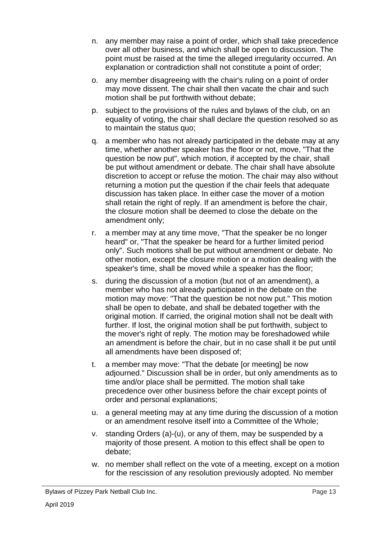- n. any member may raise a point of order, which shall take precedence over all other business, and which shall be open to discussion. The point must be raised at the time the alleged irregularity occurred. An explanation or contradiction shall not constitute a point of order;
- o. any member disagreeing with the chair's ruling on a point of order may move dissent. The chair shall then vacate the chair and such motion shall be put forthwith without debate;
- p. subject to the provisions of the rules and bylaws of the club, on an equality of voting, the chair shall declare the question resolved so as to maintain the status quo;
- q. a member who has not already participated in the debate may at any time, whether another speaker has the floor or not, move, "That the question be now put", which motion, if accepted by the chair, shall be put without amendment or debate. The chair shall have absolute discretion to accept or refuse the motion. The chair may also without returning a motion put the question if the chair feels that adequate discussion has taken place. In either case the mover of a motion shall retain the right of reply. If an amendment is before the chair, the closure motion shall be deemed to close the debate on the amendment only;
- r. a member may at any time move, "That the speaker be no longer heard" or, "That the speaker be heard for a further limited period only". Such motions shall be put without amendment or debate. No other motion, except the closure motion or a motion dealing with the speaker's time, shall be moved while a speaker has the floor;
- s. during the discussion of a motion (but not of an amendment), a member who has not already participated in the debate on the motion may move: "That the question be not now put." This motion shall be open to debate, and shall be debated together with the original motion. If carried, the original motion shall not be dealt with further. If lost, the original motion shall be put forthwith, subject to the mover's right of reply. The motion may be foreshadowed while an amendment is before the chair, but in no case shall it be put until all amendments have been disposed of;
- t. a member may move: "That the debate [or meeting] be now adjourned." Discussion shall be in order, but only amendments as to time and/or place shall be permitted. The motion shall take precedence over other business before the chair except points of order and personal explanations;
- u. a general meeting may at any time during the discussion of a motion or an amendment resolve itself into a Committee of the Whole;
- v. standing Orders (a)-(u), or any of them, may be suspended by a majority of those present. A motion to this effect shall be open to debate;
- w. no member shall reflect on the vote of a meeting, except on a motion for the rescission of any resolution previously adopted. No member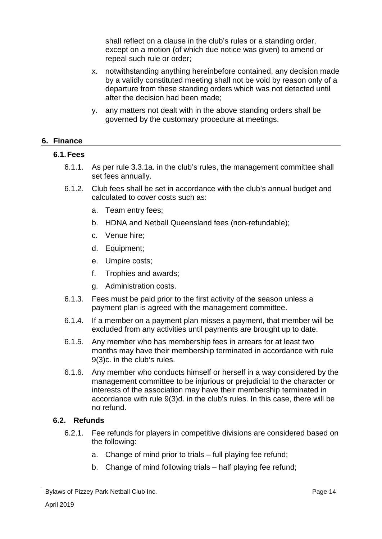shall reflect on a clause in the club's rules or a standing order, except on a motion (of which due notice was given) to amend or repeal such rule or order;

- x. notwithstanding anything hereinbefore contained, any decision made by a validly constituted meeting shall not be void by reason only of a departure from these standing orders which was not detected until after the decision had been made;
- y. any matters not dealt with in the above standing orders shall be governed by the customary procedure at meetings.

### **6. Finance**

### **6.1.Fees**

- 6.1.1. As per rule 3.3.1a. in the club's rules, the management committee shall set fees annually.
- 6.1.2. Club fees shall be set in accordance with the club's annual budget and calculated to cover costs such as:
	- a. Team entry fees;
	- b. HDNA and Netball Queensland fees (non-refundable);
	- c. Venue hire;
	- d. Equipment;
	- e. Umpire costs;
	- f. Trophies and awards;
	- g. Administration costs.
- 6.1.3. Fees must be paid prior to the first activity of the season unless a payment plan is agreed with the management committee.
- 6.1.4. If a member on a payment plan misses a payment, that member will be excluded from any activities until payments are brought up to date.
- 6.1.5. Any member who has membership fees in arrears for at least two months may have their membership terminated in accordance with rule 9(3)c. in the club's rules.
- 6.1.6. Any member who conducts himself or herself in a way considered by the management committee to be injurious or prejudicial to the character or interests of the association may have their membership terminated in accordance with rule 9(3)d. in the club's rules. In this case, there will be no refund.

### **6.2. Refunds**

- 6.2.1. Fee refunds for players in competitive divisions are considered based on the following:
	- a. Change of mind prior to trials full playing fee refund;
	- b. Change of mind following trials half playing fee refund;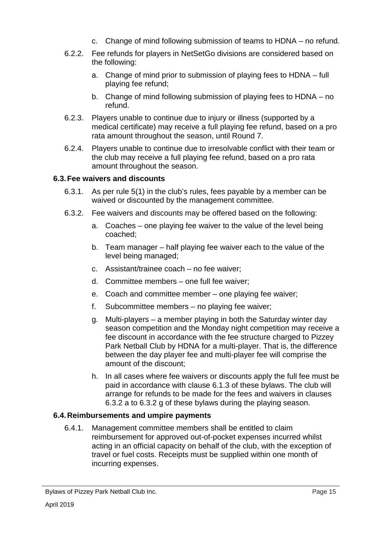- c. Change of mind following submission of teams to HDNA no refund.
- 6.2.2. Fee refunds for players in NetSetGo divisions are considered based on the following:
	- a. Change of mind prior to submission of playing fees to HDNA full playing fee refund;
	- b. Change of mind following submission of playing fees to HDNA no refund.
- 6.2.3. Players unable to continue due to injury or illness (supported by a medical certificate) may receive a full playing fee refund, based on a pro rata amount throughout the season, until Round 7.
- 6.2.4. Players unable to continue due to irresolvable conflict with their team or the club may receive a full playing fee refund, based on a pro rata amount throughout the season.

# **6.3.Fee waivers and discounts**

- 6.3.1. As per rule 5(1) in the club's rules, fees payable by a member can be waived or discounted by the management committee.
- 6.3.2. Fee waivers and discounts may be offered based on the following:
	- a. Coaches one playing fee waiver to the value of the level being coached;
	- b. Team manager half playing fee waiver each to the value of the level being managed;
	- c. Assistant/trainee coach no fee waiver;
	- d. Committee members one full fee waiver;
	- e. Coach and committee member one playing fee waiver;
	- f. Subcommittee members no playing fee waiver;
	- g. Multi-players a member playing in both the Saturday winter day season competition and the Monday night competition may receive a fee discount in accordance with the fee structure charged to Pizzey Park Netball Club by HDNA for a multi-player. That is, the difference between the day player fee and multi-player fee will comprise the amount of the discount;
	- h. In all cases where fee waivers or discounts apply the full fee must be paid in accordance with clause 6.1.3 of these bylaws. The club will arrange for refunds to be made for the fees and waivers in clauses 6.3.2 a to 6.3.2 g of these bylaws during the playing season.

# **6.4.Reimbursements and umpire payments**

6.4.1. Management committee members shall be entitled to claim reimbursement for approved out-of-pocket expenses incurred whilst acting in an official capacity on behalf of the club, with the exception of travel or fuel costs. Receipts must be supplied within one month of incurring expenses.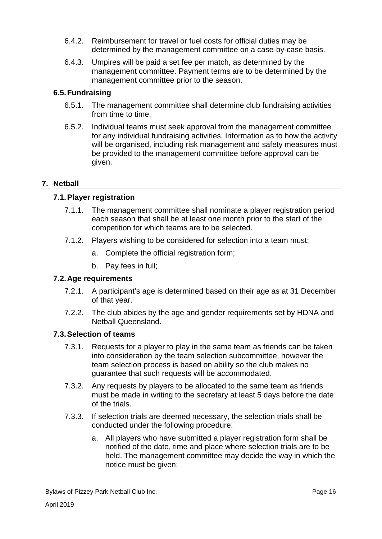- 6.4.2. Reimbursement for travel or fuel costs for official duties may be determined by the management committee on a case-by-case basis.
- 6.4.3. Umpires will be paid a set fee per match, as determined by the management committee. Payment terms are to be determined by the management committee prior to the season.

# **6.5.Fundraising**

- 6.5.1. The management committee shall determine club fundraising activities from time to time.
- 6.5.2. Individual teams must seek approval from the management committee for any individual fundraising activities. Information as to how the activity will be organised, including risk management and safety measures must be provided to the management committee before approval can be given.

# **7. Netball**

# **7.1.Player registration**

- 7.1.1. The management committee shall nominate a player registration period each season that shall be at least one month prior to the start of the competition for which teams are to be selected.
- 7.1.2. Players wishing to be considered for selection into a team must:
	- a. Complete the official registration form;
	- b. Pay fees in full;

# **7.2.Age requirements**

- 7.2.1. A participant's age is determined based on their age as at 31 December of that year.
- 7.2.2. The club abides by the age and gender requirements set by HDNA and Netball Queensland.

### **7.3.Selection of teams**

- 7.3.1. Requests for a player to play in the same team as friends can be taken into consideration by the team selection subcommittee, however the team selection process is based on ability so the club makes no guarantee that such requests will be accommodated.
- 7.3.2. Any requests by players to be allocated to the same team as friends must be made in writing to the secretary at least 5 days before the date of the trials.
- 7.3.3. If selection trials are deemed necessary, the selection trials shall be conducted under the following procedure:
	- a. All players who have submitted a player registration form shall be notified of the date, time and place where selection trials are to be held. The management committee may decide the way in which the notice must be given;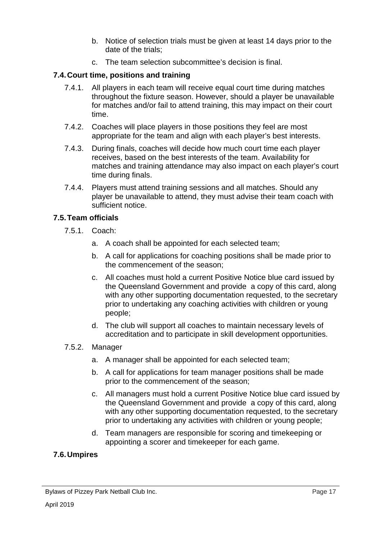- b. Notice of selection trials must be given at least 14 days prior to the date of the trials;
- c. The team selection subcommittee's decision is final.

# **7.4.Court time, positions and training**

- 7.4.1. All players in each team will receive equal court time during matches throughout the fixture season. However, should a player be unavailable for matches and/or fail to attend training, this may impact on their court time.
- 7.4.2. Coaches will place players in those positions they feel are most appropriate for the team and align with each player's best interests.
- 7.4.3. During finals, coaches will decide how much court time each player receives, based on the best interests of the team. Availability for matches and training attendance may also impact on each player's court time during finals.
- 7.4.4. Players must attend training sessions and all matches. Should any player be unavailable to attend, they must advise their team coach with sufficient notice.

### **7.5.Team officials**

- 7.5.1. Coach:
	- a. A coach shall be appointed for each selected team;
	- b. A call for applications for coaching positions shall be made prior to the commencement of the season;
	- c. All coaches must hold a current Positive Notice blue card issued by the Queensland Government and provide a copy of this card, along with any other supporting documentation requested, to the secretary prior to undertaking any coaching activities with children or young people;
	- d. The club will support all coaches to maintain necessary levels of accreditation and to participate in skill development opportunities.
- 7.5.2. Manager
	- a. A manager shall be appointed for each selected team;
	- b. A call for applications for team manager positions shall be made prior to the commencement of the season;
	- c. All managers must hold a current Positive Notice blue card issued by the Queensland Government and provide a copy of this card, along with any other supporting documentation requested, to the secretary prior to undertaking any activities with children or young people;
	- d. Team managers are responsible for scoring and timekeeping or appointing a scorer and timekeeper for each game.

### **7.6.Umpires**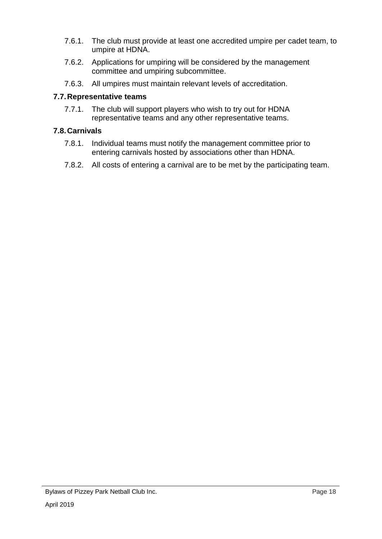- 7.6.1. The club must provide at least one accredited umpire per cadet team, to umpire at HDNA.
- 7.6.2. Applications for umpiring will be considered by the management committee and umpiring subcommittee.
- 7.6.3. All umpires must maintain relevant levels of accreditation.

# **7.7.Representative teams**

7.7.1. The club will support players who wish to try out for HDNA representative teams and any other representative teams.

# **7.8.Carnivals**

- 7.8.1. Individual teams must notify the management committee prior to entering carnivals hosted by associations other than HDNA.
- 7.8.2. All costs of entering a carnival are to be met by the participating team.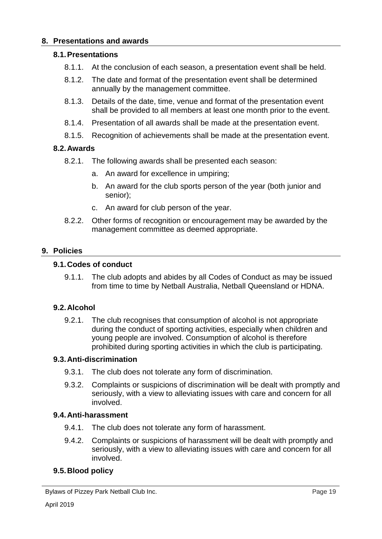### **8. Presentations and awards**

### **8.1.Presentations**

- 8.1.1. At the conclusion of each season, a presentation event shall be held.
- 8.1.2. The date and format of the presentation event shall be determined annually by the management committee.
- 8.1.3. Details of the date, time, venue and format of the presentation event shall be provided to all members at least one month prior to the event.
- 8.1.4. Presentation of all awards shall be made at the presentation event.
- 8.1.5. Recognition of achievements shall be made at the presentation event.

### **8.2.Awards**

- 8.2.1. The following awards shall be presented each season:
	- a. An award for excellence in umpiring;
	- b. An award for the club sports person of the year (both junior and senior);
	- c. An award for club person of the year.
- 8.2.2. Other forms of recognition or encouragement may be awarded by the management committee as deemed appropriate.

### **9. Policies**

#### **9.1.Codes of conduct**

9.1.1. The club adopts and abides by all Codes of Conduct as may be issued from time to time by Netball Australia, Netball Queensland or HDNA.

### **9.2.Alcohol**

9.2.1. The club recognises that consumption of alcohol is not appropriate during the conduct of sporting activities, especially when children and young people are involved. Consumption of alcohol is therefore prohibited during sporting activities in which the club is participating.

### **9.3.Anti-discrimination**

- 9.3.1. The club does not tolerate any form of discrimination.
- 9.3.2. Complaints or suspicions of discrimination will be dealt with promptly and seriously, with a view to alleviating issues with care and concern for all involved.

### **9.4.Anti-harassment**

- 9.4.1. The club does not tolerate any form of harassment.
- 9.4.2. Complaints or suspicions of harassment will be dealt with promptly and seriously, with a view to alleviating issues with care and concern for all involved.

### **9.5.Blood policy**

Bylaws of Pizzey Park Netball Club Inc.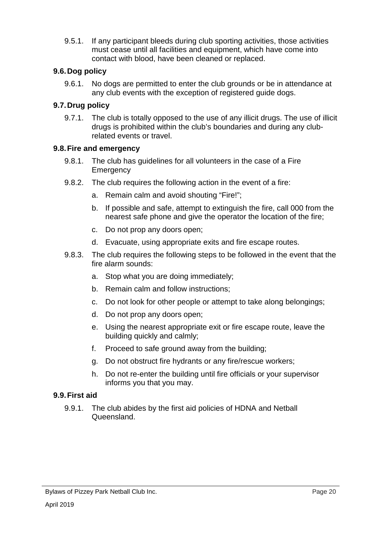9.5.1. If any participant bleeds during club sporting activities, those activities must cease until all facilities and equipment, which have come into contact with blood, have been cleaned or replaced.

# **9.6.Dog policy**

9.6.1. No dogs are permitted to enter the club grounds or be in attendance at any club events with the exception of registered guide dogs.

# **9.7.Drug policy**

9.7.1. The club is totally opposed to the use of any illicit drugs. The use of illicit drugs is prohibited within the club's boundaries and during any clubrelated events or travel.

### **9.8.Fire and emergency**

- 9.8.1. The club has guidelines for all volunteers in the case of a Fire Emergency
- 9.8.2. The club requires the following action in the event of a fire:
	- a. Remain calm and avoid shouting "Fire!";
	- b. If possible and safe, attempt to extinguish the fire, call 000 from the nearest safe phone and give the operator the location of the fire;
	- c. Do not prop any doors open;
	- d. Evacuate, using appropriate exits and fire escape routes.
- 9.8.3. The club requires the following steps to be followed in the event that the fire alarm sounds:
	- a. Stop what you are doing immediately;
	- b. Remain calm and follow instructions;
	- c. Do not look for other people or attempt to take along belongings;
	- d. Do not prop any doors open;
	- e. Using the nearest appropriate exit or fire escape route, leave the building quickly and calmly;
	- f. Proceed to safe ground away from the building;
	- g. Do not obstruct fire hydrants or any fire/rescue workers;
	- h. Do not re-enter the building until fire officials or your supervisor informs you that you may.

### **9.9.First aid**

9.9.1. The club abides by the first aid policies of HDNA and Netball Queensland.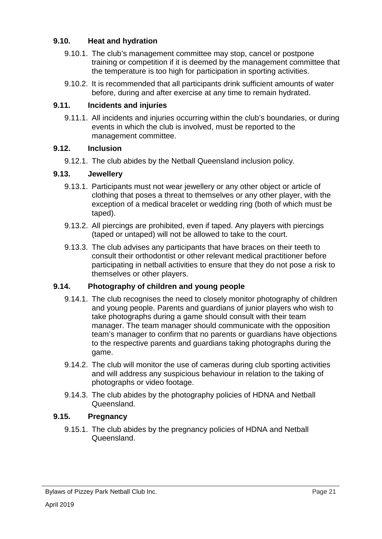# **9.10. Heat and hydration**

- 9.10.1. The club's management committee may stop, cancel or postpone training or competition if it is deemed by the management committee that the temperature is too high for participation in sporting activities.
- 9.10.2. It is recommended that all participants drink sufficient amounts of water before, during and after exercise at any time to remain hydrated.

## **9.11. Incidents and injuries**

9.11.1. All incidents and injuries occurring within the club's boundaries, or during events in which the club is involved, must be reported to the management committee.

### **9.12. Inclusion**

9.12.1. The club abides by the Netball Queensland inclusion policy.

### **9.13. Jewellery**

- 9.13.1. Participants must not wear jewellery or any other object or article of clothing that poses a threat to themselves or any other player, with the exception of a medical bracelet or wedding ring (both of which must be taped).
- 9.13.2. All piercings are prohibited, even if taped. Any players with piercings (taped or untaped) will not be allowed to take to the court.
- 9.13.3. The club advises any participants that have braces on their teeth to consult their orthodontist or other relevant medical practitioner before participating in netball activities to ensure that they do not pose a risk to themselves or other players.

### **9.14. Photography of children and young people**

- 9.14.1. The club recognises the need to closely monitor photography of children and young people. Parents and guardians of junior players who wish to take photographs during a game should consult with their team manager. The team manager should communicate with the opposition team's manager to confirm that no parents or guardians have objections to the respective parents and guardians taking photographs during the game.
- 9.14.2. The club will monitor the use of cameras during club sporting activities and will address any suspicious behaviour in relation to the taking of photographs or video footage.
- 9.14.3. The club abides by the photography policies of HDNA and Netball Queensland.

## **9.15. Pregnancy**

9.15.1. The club abides by the pregnancy policies of HDNA and Netball Queensland.